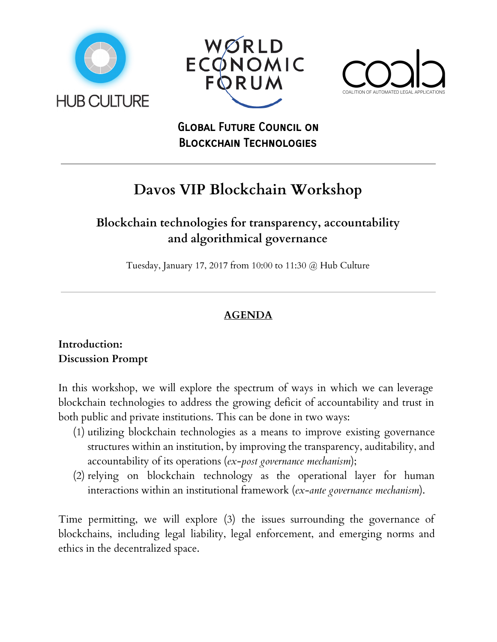





# Global Future Council on Blockchain Technologies

# **Davos VIP Blockchain Workshop**

# **Blockchain technologies for transparency, accountability and algorithmical governance**

Tuesday, January 17, 2017 from 10:00 to 11:30 @ Hub Culture

# **AGENDA**

### **Introduction: Discussion Prompt**

In this workshop, we will explore the spectrum of ways in which we can leverage blockchain technologies to address the growing deficit of accountability and trust in both public and private institutions. This can be done in two ways:

- (1) utilizing blockchain technologies as a means to improve existing governance structures within an institution, by improving the transparency, auditability, and accountability of its operations (*ex-post governance mechanism*);
- (2) relying on blockchain technology as the operational layer for human interactions within an institutional framework (*ex-ante governance mechanism*).

Time permitting, we will explore (3) the issues surrounding the governance of blockchains, including legal liability, legal enforcement, and emerging norms and ethics in the decentralized space.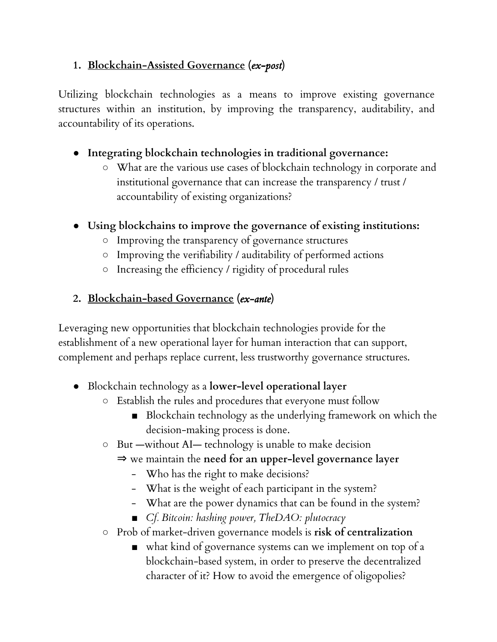## **1. Blockchain-Assisted Governance (***ex-post***)**

Utilizing blockchain technologies as a means to improve existing governance structures within an institution, by improving the transparency, auditability, and accountability of its operations.

## **● Integrating blockchain technologies in traditional governance:**

- What are the various use cases of blockchain technology in corporate and institutional governance that can increase the transparency / trust / accountability of existing organizations?
- **● Using blockchains to improve the governance of existing institutions:**
	- Improving the transparency of governance structures
	- Improving the verifiability / auditability of performed actions
	- Increasing the efficiency / rigidity of procedural rules

### **2. Blockchain-based Governance (***ex-ante***)**

Leveraging new opportunities that blockchain technologies provide for the establishment of a new operational layer for human interaction that can support, complement and perhaps replace current, less trustworthy governance structures.

- Blockchain technology as a **lower-level operational layer**
	- Establish the rules and procedures that everyone must follow
		- Blockchain technology as the underlying framework on which the decision-making process is done.
	- But —without AI— technology is unable to make decision
		- ⇒ we maintain the **need for an upper-level governance layer**
			- Who has the right to make decisions?
			- What is the weight of each participant in the system?
			- What are the power dynamics that can be found in the system?
			- *■ Cf. Bitcoin: hashing power, TheDAO: plutocracy*
	- Prob of market-driven governance models is **risk of centralization**
		- what kind of governance systems can we implement on top of a blockchain-based system, in order to preserve the decentralized character of it? How to avoid the emergence of oligopolies?